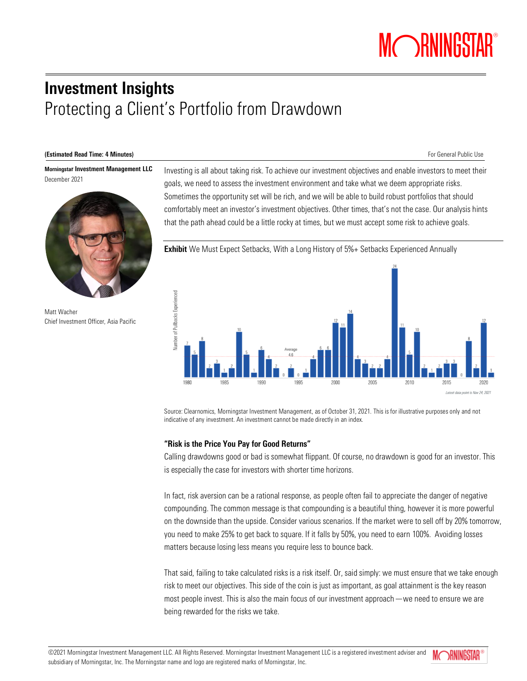# Investment Insights Protecting a Client's Portfolio from Drawdown

#### (Estimated Read Time: 4 Minutes) **For General Public Use For General Public Use**

Morningstar Investment Management LLC December 2021



Matt Wacher Chief Investment Officer, Asia Pacific

Investing is all about taking risk. To achieve our investment objectives and enable investors to meet their goals, we need to assess the investment environment and take what we deem appropriate risks. Sometimes the opportunity set will be rich, and we will be able to build robust portfolios that should comfortably meet an investor's investment objectives. Other times, that's not the case. Our analysis hints that the path ahead could be a little rocky at times, but we must accept some risk to achieve goals.



Source: Clearnomics, Morningstar Investment Management, as of October 31, 2021. This is for illustrative purposes only and not indicative of any investment. An investment cannot be made directly in an index.

## "Risk is the Price You Pay for Good Returns"

Calling drawdowns good or bad is somewhat flippant. Of course, no drawdown is good for an investor. This is especially the case for investors with shorter time horizons.

In fact, risk aversion can be a rational response, as people often fail to appreciate the danger of negative compounding. The common message is that compounding is a beautiful thing, however it is more powerful on the downside than the upside. Consider various scenarios. If the market were to sell off by 20% tomorrow, you need to make 25% to get back to square. If it falls by 50%, you need to earn 100%. Avoiding losses matters because losing less means you require less to bounce back.

That said, failing to take calculated risks is a risk itself. Or, said simply: we must ensure that we take enough risk to meet our objectives. This side of the coin is just as important, as goal attainment is the key reason most people invest. This is also the main focus of our investment approach—we need to ensure we are being rewarded for the risks we take.

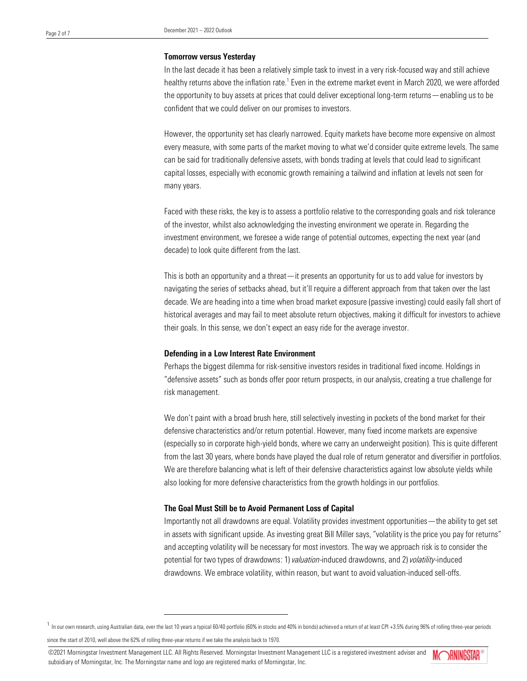#### Tomorrow versus Yesterday

In the last decade it has been a relatively simple task to invest in a very risk-focused way and still achieve healthy returns above the inflation rate.<sup>1</sup> Even in the extreme market event in March 2020, we were afforded the opportunity to buy assets at prices that could deliver exceptional long-term returns—enabling us to be confident that we could deliver on our promises to investors.

However, the opportunity set has clearly narrowed. Equity markets have become more expensive on almost every measure, with some parts of the market moving to what we'd consider quite extreme levels. The same can be said for traditionally defensive assets, with bonds trading at levels that could lead to significant capital losses, especially with economic growth remaining a tailwind and inflation at levels not seen for many years.

Faced with these risks, the key is to assess a portfolio relative to the corresponding goals and risk tolerance of the investor, whilst also acknowledging the investing environment we operate in. Regarding the investment environment, we foresee a wide range of potential outcomes, expecting the next year (and decade) to look quite different from the last.

This is both an opportunity and a threat—it presents an opportunity for us to add value for investors by navigating the series of setbacks ahead, but it'll require a different approach from that taken over the last decade. We are heading into a time when broad market exposure (passive investing) could easily fall short of historical averages and may fail to meet absolute return objectives, making it difficult for investors to achieve their goals. In this sense, we don't expect an easy ride for the average investor.

#### Defending in a Low Interest Rate Environment

Perhaps the biggest dilemma for risk-sensitive investors resides in traditional fixed income. Holdings in "defensive assets" such as bonds offer poor return prospects, in our analysis, creating a true challenge for risk management.

We don't paint with a broad brush here, still selectively investing in pockets of the bond market for their defensive characteristics and/or return potential. However, many fixed income markets are expensive (especially so in corporate high-yield bonds, where we carry an underweight position). This is quite different from the last 30 years, where bonds have played the dual role of return generator and diversifier in portfolios. We are therefore balancing what is left of their defensive characteristics against low absolute yields while also looking for more defensive characteristics from the growth holdings in our portfolios.

#### The Goal Must Still be to Avoid Permanent Loss of Capital

Importantly not all drawdowns are equal. Volatility provides investment opportunities—the ability to get set in assets with significant upside. As investing great Bill Miller says, "volatility is the price you pay for returns" and accepting volatility will be necessary for most investors. The way we approach risk is to consider the potential for two types of drawdowns: 1) *valuation*-induced drawdowns, and 2) *volatility*-induced drawdowns. We embrace volatility, within reason, but want to avoid valuation-induced sell-offs.

©2021 Morningstar Investment Management LLC. All Rights Reserved. Morningstar Investment Management LLC is a registered investment adviser and subsidiary of Morningstar, Inc. The Morningstar name and logo are registered marks of Morningstar, Inc.



<sup>&</sup>lt;sup>1</sup> In our own research, using Australian data, over the last 10 years a typical 60/40 portfolio (60% in stocks and 40% in bonds) achieved a return of at least CPI +3.5% during 96% of rolling three-year periods

since the start of 2010, well above the 62% of rolling three-year returns if we take the analysis back to 1970.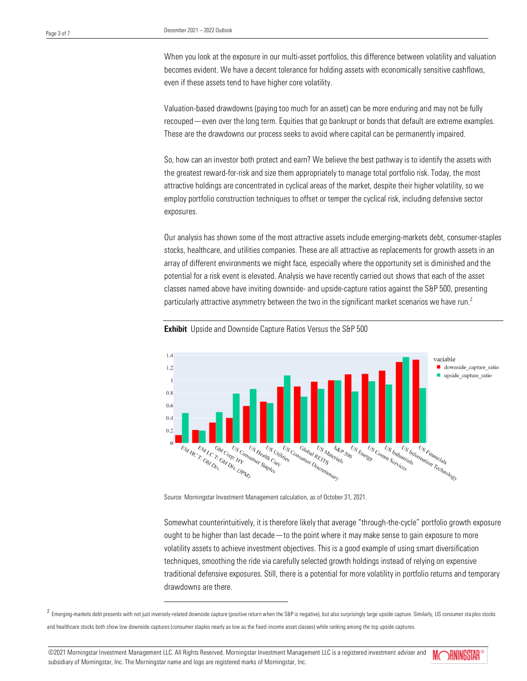When you look at the exposure in our multi-asset portfolios, this difference between volatility and valuation becomes evident. We have a decent tolerance for holding assets with economically sensitive cashflows, even if these assets tend to have higher core volatility.

Valuation-based drawdowns (paying too much for an asset) can be more enduring and may not be fully recouped—even over the long term. Equities that go bankrupt or bonds that default are extreme examples. These are the drawdowns our process seeks to avoid where capital can be permanently impaired.

So, how can an investor both protect and earn? We believe the best pathway is to identify the assets with the greatest reward-for-risk and size them appropriately to manage total portfolio risk. Today, the most attractive holdings are concentrated in cyclical areas of the market, despite their higher volatility, so we employ portfolio construction techniques to offset or temper the cyclical risk, including defensive sector exposures.

Our analysis has shown some of the most attractive assets include emerging-markets debt, consumer-staples stocks, healthcare, and utilities companies. These are all attractive as replacements for growth assets in an array of different environments we might face, especially where the opportunity set is diminished and the potential for a risk event is elevated. Analysis we have recently carried out shows that each of the asset classes named above have inviting downside- and upside-capture ratios against the S&P 500, presenting particularly attractive asymmetry between the two in the significant market scenarios we have run.<sup>2</sup>



**Exhibit** Upside and Downside Capture Ratios Versus the S&P 500

Source: Morningstar Investment Management calculation, as of October 31, 2021.

Somewhat counterintuitively, it is therefore likely that average "through-the-cycle" portfolio growth exposure ought to be higher than last decade—to the point where it may make sense to gain exposure to more volatility assets to achieve investment objectives. This is a good example of using smart diversification techniques, smoothing the ride via carefully selected growth holdings instead of relying on expensive traditional defensive exposures. Still, there is a potential for more volatility in portfolio returns and temporary drawdowns are there.

 $^2$  Emerging-markets debt presents with not just inversely-related downside capture (positive return when the S&P is negative), but also surprisingly large upside capture. Similarly, US consumer staples stocks and healthcare stocks both show low downside captures (consumer staples nearly as low as the fixed-income asset classes) while ranking among the top upside captures.

©2021 Morningstar Investment Management LLC. All Rights Reserved. Morningstar Investment Management LLC is a registered investment adviser and subsidiary of Morningstar, Inc. The Morningstar name and logo are registered marks of Morningstar, Inc.

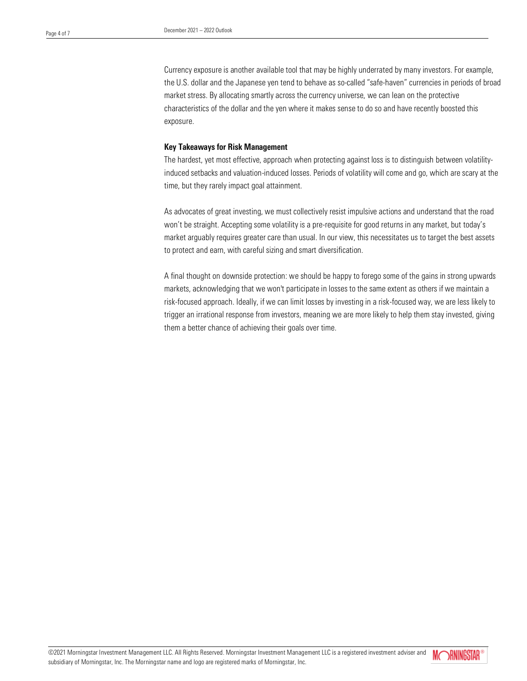Currency exposure is another available tool that may be highly underrated by many investors. For example, the U.S. dollar and the Japanese yen tend to behave as so-called "safe-haven" currencies in periods of broad market stress. By allocating smartly across the currency universe, we can lean on the protective characteristics of the dollar and the yen where it makes sense to do so and have recently boosted this exposure.

# Key Takeaways for Risk Management

The hardest, yet most effective, approach when protecting against loss is to distinguish between volatilityinduced setbacks and valuation-induced losses. Periods of volatility will come and go, which are scary at the time, but they rarely impact goal attainment.

As advocates of great investing, we must collectively resist impulsive actions and understand that the road won't be straight. Accepting some volatility is a pre-requisite for good returns in any market, but today's market arguably requires greater care than usual. In our view, this necessitates us to target the best assets to protect and earn, with careful sizing and smart diversification.

A final thought on downside protection: we should be happy to forego some of the gains in strong upwards markets, acknowledging that we won't participate in losses to the same extent as others if we maintain a risk-focused approach. Ideally, if we can limit losses by investing in a risk-focused way, we are less likely to trigger an irrational response from investors, meaning we are more likely to help them stay invested, giving them a better chance of achieving their goals over time.

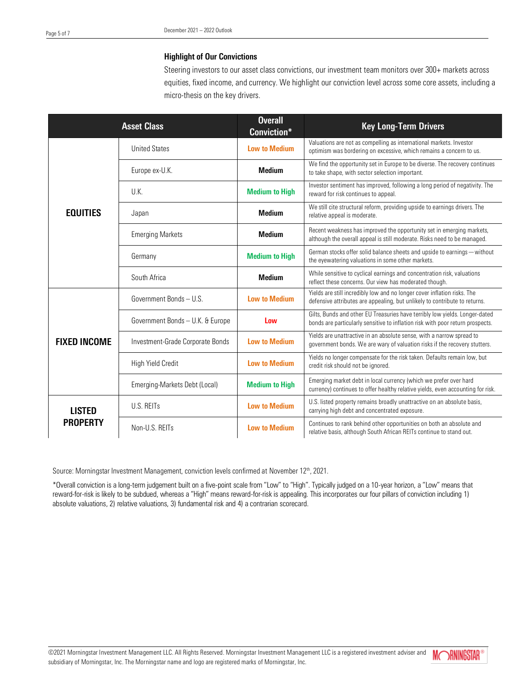# Highlight of Our Convictions

Steering investors to our asset class convictions, our investment team monitors over 300+ markets across equities, fixed income, and currency. We highlight our conviction level across some core assets, including a micro-thesis on the key drivers.

| <b>Asset Class</b>               |                                  | <b>Overall</b><br>Conviction* | <b>Key Long-Term Drivers</b>                                                                                                                                  |
|----------------------------------|----------------------------------|-------------------------------|---------------------------------------------------------------------------------------------------------------------------------------------------------------|
| <b>EQUITIES</b>                  | <b>United States</b>             | <b>Low to Medium</b>          | Valuations are not as compelling as international markets. Investor<br>optimism was bordering on excessive, which remains a concern to us.                    |
|                                  | Europe ex-U.K.                   | <b>Medium</b>                 | We find the opportunity set in Europe to be diverse. The recovery continues<br>to take shape, with sector selection important.                                |
|                                  | U.K.                             | <b>Medium to High</b>         | Investor sentiment has improved, following a long period of negativity. The<br>reward for risk continues to appeal.                                           |
|                                  | Japan                            | <b>Medium</b>                 | We still cite structural reform, providing upside to earnings drivers. The<br>relative appeal is moderate.                                                    |
|                                  | <b>Emerging Markets</b>          | <b>Medium</b>                 | Recent weakness has improved the opportunity set in emerging markets,<br>although the overall appeal is still moderate. Risks need to be managed.             |
|                                  | Germany                          | <b>Medium to High</b>         | German stocks offer solid balance sheets and upside to earnings - without<br>the eyewatering valuations in some other markets.                                |
|                                  | South Africa                     | <b>Medium</b>                 | While sensitive to cyclical earnings and concentration risk, valuations<br>reflect these concerns. Our view has moderated though.                             |
| <b>FIXED INCOME</b>              | Government Bonds - U.S.          | <b>Low to Medium</b>          | Yields are still incredibly low and no longer cover inflation risks. The<br>defensive attributes are appealing, but unlikely to contribute to returns.        |
|                                  | Government Bonds - U.K. & Europe | Low                           | Gilts, Bunds and other EU Treasuries have terribly low yields. Longer-dated<br>bonds are particularly sensitive to inflation risk with poor return prospects. |
|                                  | Investment-Grade Corporate Bonds | <b>Low to Medium</b>          | Yields are unattractive in an absolute sense, with a narrow spread to<br>government bonds. We are wary of valuation risks if the recovery stutters.           |
|                                  | High Yield Credit                | <b>Low to Medium</b>          | Yields no longer compensate for the risk taken. Defaults remain low, but<br>credit risk should not be ignored.                                                |
|                                  | Emerging-Markets Debt (Local)    | <b>Medium to High</b>         | Emerging market debt in local currency (which we prefer over hard<br>currency) continues to offer healthy relative yields, even accounting for risk.          |
| <b>LISTED</b><br><b>PROPERTY</b> | U.S. REITs                       | <b>Low to Medium</b>          | U.S. listed property remains broadly unattractive on an absolute basis,<br>carrying high debt and concentrated exposure.                                      |
|                                  | Non-U.S. REITs                   | <b>Low to Medium</b>          | Continues to rank behind other opportunities on both an absolute and<br>relative basis, although South African REITs continue to stand out.                   |

Source: Morningstar Investment Management, conviction levels confirmed at November 12<sup>th</sup>, 2021.

\*Overall conviction is a long-term judgement built on a five-point scale from "Low" to "High". Typically judged on a 10-year horizon, a "Low" means that reward-for-risk is likely to be subdued, whereas a "High" means reward-for-risk is appealing. This incorporates our four pillars of conviction including 1) absolute valuations, 2) relative valuations, 3) fundamental risk and 4) a contrarian scorecard.

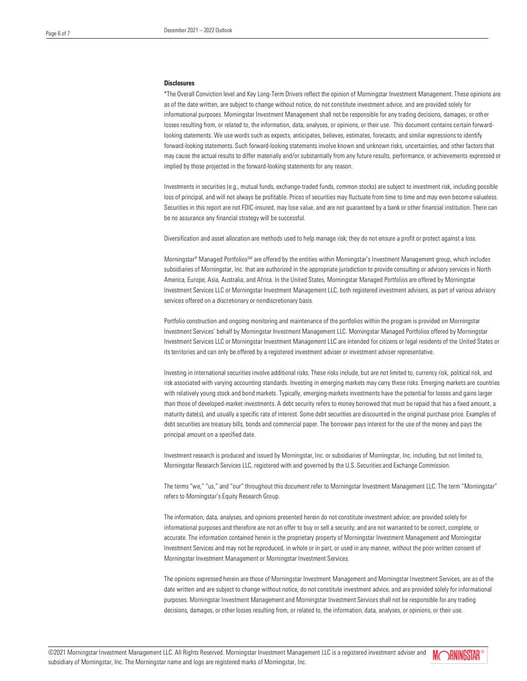#### **Disclosures**

\*The Overall Conviction level and Key Long-Term Drivers reflect the opinion of Morningstar Investment Management. These opinions are as of the date written, are subject to change without notice, do not constitute investment advice, and are provided solely for informational purposes. Morningstar Investment Management shall not be responsible for any trading decisions, damages, or other losses resulting from, or related to, the information, data, analyses, or opinions, or their use. This document contains certain forwardlooking statements. We use words such as expects, anticipates, believes, estimates, forecasts, and similar expressions to identify forward-looking statements. Such forward-looking statements involve known and unknown risks, uncertainties, and other factors that may cause the actual results to differ materially and/or substantially from any future results, performance, or achievements expressed or implied by those projected in the forward-looking statements for any reason.

Investments in securities (e.g., mutual funds, exchange-traded funds, common stocks) are subject to investment risk, including possible loss of principal, and will not always be profitable. Prices of securities may fluctuate from time to time and may even become valueless. Securities in this report are not FDIC-insured, may lose value, and are not guaranteed by a bank or other financial institution. There can be no assurance any financial strategy will be successful.

Diversification and asset allocation are methods used to help manage risk; they do not ensure a profit or protect against a loss.

Morningstar® Managed PortfoliosSM are offered by the entities within Morningstar's Investment Management group, which includes subsidiaries of Morningstar, Inc. that are authorized in the appropriate jurisdiction to provide consulting or advisory services in North America, Europe, Asia, Australia, and Africa. In the United States, Morningstar Managed Portfolios are offered by Morningstar Investment Services LLC or Morningstar Investment Management LLC, both registered investment advisers, as part of various advisory services offered on a discretionary or nondiscretionary basis.

Portfolio construction and ongoing monitoring and maintenance of the portfolios within the program is provided on Morningstar Investment Services' behalf by Morningstar Investment Management LLC. Morningstar Managed Portfolios offered by Morningstar Investment Services LLC or Morningstar Investment Management LLC are intended for citizens or legal residents of the United States or its territories and can only be offered by a registered investment adviser or investment adviser representative.

Investing in international securities involve additional risks. These risks include, but are not limited to, currency risk, political risk, and risk associated with varying accounting standards. Investing in emerging markets may carry these risks. Emerging markets are countries with relatively young stock and bond markets. Typically, emerging-markets investments have the potential for losses and gains larger than those of developed-market investments. A debt security refers to money borrowed that must be repaid that has a fixed amount, a maturity date(s), and usually a specific rate of interest. Some debt securities are discounted in the original purchase price. Examples of debt securities are treasury bills, bonds and commercial paper. The borrower pays interest for the use of the money and pays the principal amount on a specified date.

Investment research is produced and issued by Morningstar, Inc. or subsidiaries of Morningstar, Inc. including, but not limited to, Morningstar Research Services LLC, registered with and governed by the U.S. Securities and Exchange Commission.

The terms "we," "us," and "our" throughout this document refer to Morningstar Investment Management LLC. The term "Morningstar" refers to Morningstar's Equity Research Group.

The information, data, analyses, and opinions presented herein do not constitute investment advice; are provided solely for informational purposes and therefore are not an offer to buy or sell a security; and are not warranted to be correct, complete, or accurate. The information contained herein is the proprietary property of Morningstar Investment Management and Morningstar Investment Services and may not be reproduced, in whole or in part, or used in any manner, without the prior written consent of Morningstar Investment Management or Morningstar Investment Services.

The opinions expressed herein are those of Morningstar Investment Management and Morningstar Investment Services, are as of the date written and are subject to change without notice, do not constitute investment advice, and are provided solely for informational purposes. Morningstar Investment Management and Morningstar Investment Services shall not be responsible for any trading decisions, damages, or other losses resulting from, or related to, the information, data, analyses, or opinions, or their use.